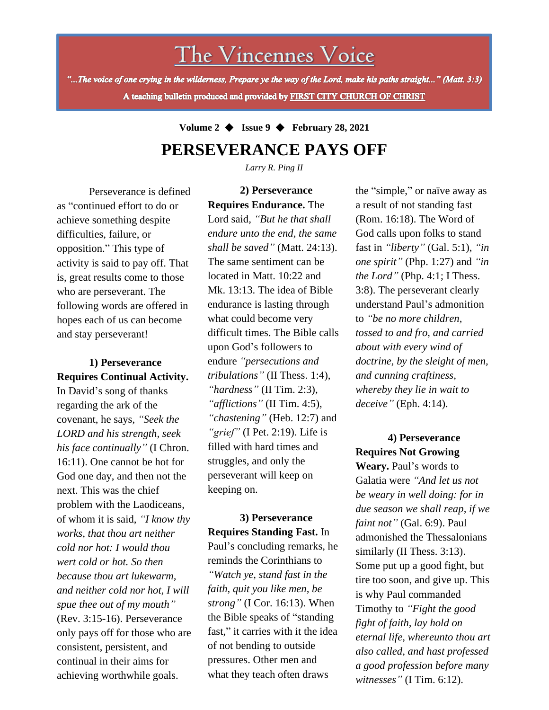The Vincennes Voice

"...The voice of one crying in the wilderness, Prepare ye the way of the Lord, make his paths straight..." (Matt. 3:3) A teaching bulletin produced and provided by FIRST CITY CHURCH OF CHRIST

## **Volume 2** ◆ **Issue 9** ◆ **February 28, 2021 PERSEVERANCE PAYS OFF**

*Larry R. Ping II*

Perseverance is defined as "continued effort to do or achieve something despite difficulties, failure, or opposition." This type of activity is said to pay off. That is, great results come to those who are perseverant. The following words are offered in hopes each of us can become and stay perseverant!

### **1) Perseverance Requires Continual Activity.**

(Rev. 3:15-16). Perseverance In David's song of thanks regarding the ark of the covenant, he says, *"Seek the LORD and his strength, seek his face continually"* (I Chron. 16:11). One cannot be hot for God one day, and then not the next. This was the chief problem with the Laodiceans, of whom it is said, *"I know thy works, that thou art neither cold nor hot: I would thou wert cold or hot. So then because thou art lukewarm, and neither cold nor hot, I will spue thee out of my mouth"* only pays off for those who are consistent, persistent, and continual in their aims for achieving worthwhile goals.

**2) Perseverance Requires Endurance.** The Lord said*, "But he that shall endure unto the end, the same shall be saved"* (Matt. 24:13). The same sentiment can be located in Matt. 10:22 and Mk. 13:13. The idea of Bible endurance is lasting through what could become very difficult times. The Bible calls upon God's followers to endure *"persecutions and tribulations"* (II Thess. 1:4), *"hardness"* (II Tim. 2:3), *"afflictions"* (II Tim. 4:5), *"chastening"* (Heb. 12:7) and *"grief"* (I Pet. 2:19). Life is filled with hard times and struggles, and only the perseverant will keep on keeping on.

**3) Perseverance Requires Standing Fast.** In Paul's concluding remarks, he reminds the Corinthians to *"Watch ye, stand fast in the faith, quit you like men, be strong"* (I Cor. 16:13). When the Bible speaks of "standing fast," it carries with it the idea of not bending to outside pressures. Other men and what they teach often draws

the "simple," or naïve away as a result of not standing fast (Rom. 16:18). The Word of God calls upon folks to stand fast in *"liberty"* (Gal. 5:1), *"in one spirit"* (Php. 1:27) and *"in the Lord"* (Php. 4:1; I Thess. 3:8). The perseverant clearly understand Paul's admonition to *"be no more children, tossed to and fro, and carried about with every wind of doctrine, by the sleight of men, and cunning craftiness, whereby they lie in wait to deceive"* (Eph. 4:14).

**4) Perseverance Requires Not Growing** 

**Weary.** Paul's words to Galatia were *"And let us not be weary in well doing: for in due season we shall reap, if we faint not"* (Gal. 6:9). Paul admonished the Thessalonians similarly (II Thess. 3:13). Some put up a good fight, but tire too soon, and give up. This is why Paul commanded Timothy to *"Fight the good fight of faith, lay hold on eternal life, whereunto thou art also called, and hast professed a good profession before many witnesses"* (I Tim. 6:12).